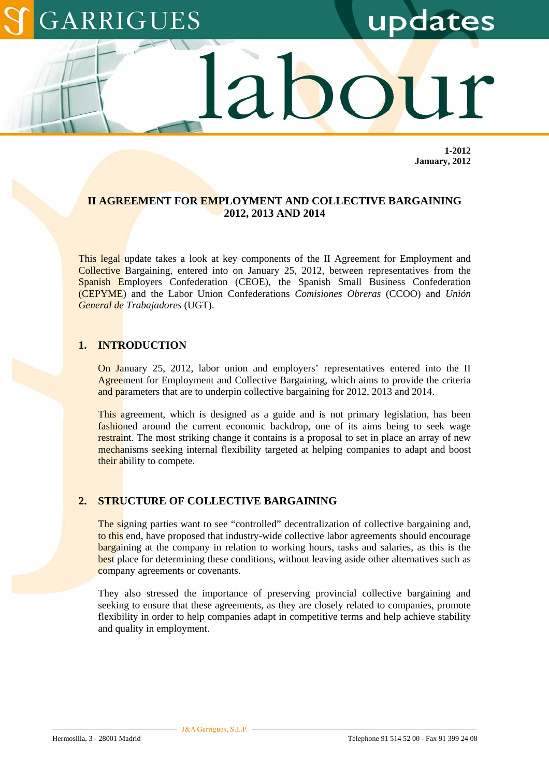# GARRIGUES

updates

**1-2012 January, 2012** 

#### **II AGREEMENT FOR EMPLOYMENT AND COLLECTIVE BARGAINING 2012, 2013 AND 2014**

This legal update takes a look at key components of the II Agreement for Employment and Collective Bargaining, entered into on January 25, 2012, between representatives from the Spanish Employers Confederation (CEOE), the Spanish Small Business Confederation (CEPYME) and the Labor Union Confederations *Comisiones Obreras* (CCOO) and *Unión General de Trabajadores* (UGT).

#### **1. INTRODUCTION**

On January 25, 2012, labor union and employers' representatives entered into the II Agreement for Employment and Collective Bargaining, which aims to provide the criteria and parameters that are to underpin collective bargaining for 2012, 2013 and 2014.

This agreement, which is designed as a guide and is not primary legislation, has been fashioned around the current economic backdrop, one of its aims being to seek wage restraint. The most striking change it contains is a proposal to set in place an array of new mechanisms seeking internal flexibility targeted at helping companies to adapt and boost their ability to compete.

### **2. STRUCTURE OF COLLECTIVE BARGAINING**

The signing parties want to see "controlled" decentralization of collective bargaining and, to this end, have proposed that industry-wide collective labor agreements should encourage bargaining at the company in relation to working hours, tasks and salaries, as this is the best place for determining these conditions, without leaving aside other alternatives such as company agreements or covenants.

They also stressed the importance of preserving provincial collective bargaining and seeking to ensure that these agreements, as they are closely related to companies, promote flexibility in order to help companies adapt in competitive terms and help achieve stability and quality in employment.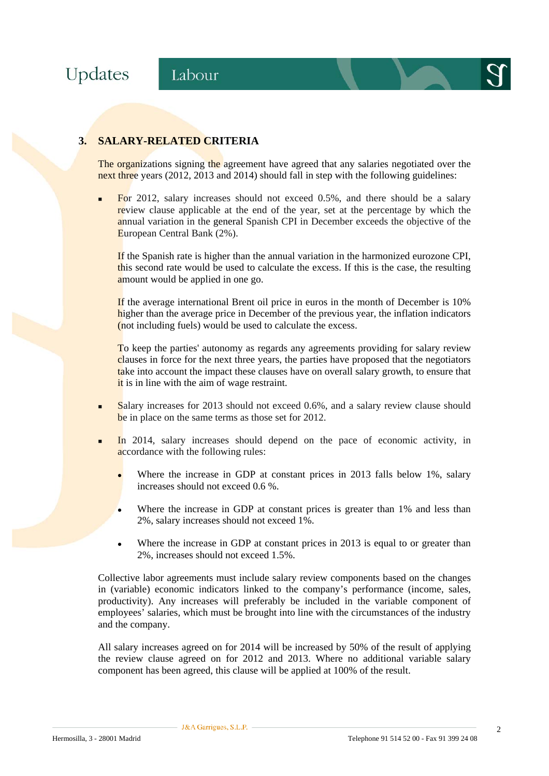



## **3. SALARY-RELATED CRITERIA**

The organizations signing the agreement have agreed that any salaries negotiated over the next three years (2012, 2013 and 2014) should fall in step with the following guidelines:

 For 2012, salary increases should not exceed 0.5%, and there should be a salary review clause applicable at the end of the year, set at the percentage by which the annual variation in the general Spanish CPI in December exceeds the objective of the European Central Bank (2%).

If the Spanish rate is higher than the annual variation in the harmonized eurozone CPI, this second rate would be used to calculate the excess. If this is the case, the resulting amount would be applied in one go.

If the average international Brent oil price in euros in the month of December is 10% higher than the average price in December of the previous year, the inflation indicators (not including fuels) would be used to calculate the excess.

To keep the parties' autonomy as regards any agreements providing for salary review clauses in force for the next three years, the parties have proposed that the negotiators take into account the impact these clauses have on overall salary growth, to ensure that it is in line with the aim of wage restraint.

- Salary increases for 2013 should not exceed 0.6%, and a salary review clause should be in place on the same terms as those set for 2012.
- In 2014, salary increases should depend on the pace of economic activity, in accordance with the following rules:
	- Where the increase in GDP at constant prices in 2013 falls below 1%, salary increases should not exceed 0.6 %.
	- Where the increase in GDP at constant prices is greater than 1% and less than 2%, salary increases should not exceed 1%.
	- Where the increase in GDP at constant prices in 2013 is equal to or greater than 2%, increases should not exceed 1.5%.

Collective labor agreements must include salary review components based on the changes in (variable) economic indicators linked to the company's performance (income, sales, productivity). Any increases will preferably be included in the variable component of employees' salaries, which must be brought into line with the circumstances of the industry and the company.

All salary increases agreed on for 2014 will be increased by 50% of the result of applying the review clause agreed on for 2012 and 2013. Where no additional variable salary component has been agreed, this clause will be applied at 100% of the result.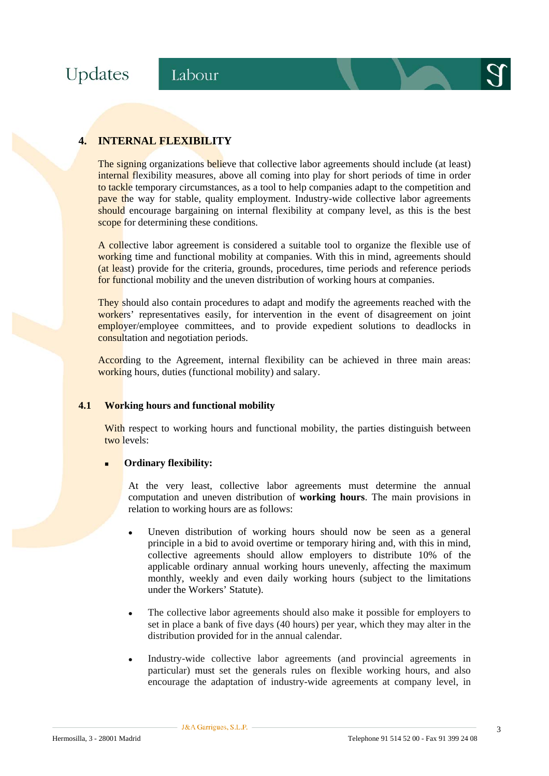Updates

# **4. INTERNAL FLEXIBILITY**

The signing organizations believe that collective labor agreements should include (at least) internal flexibility measures, above all coming into play for short periods of time in order to tackle temporary circumstances, as a tool to help companies adapt to the competition and pave the way for stable, quality employment. Industry-wide collective labor agreements should encourage bargaining on internal flexibility at company level, as this is the best scope for determining these conditions.

A collective labor agreement is considered a suitable tool to organize the flexible use of working time and functional mobility at companies. With this in mind, agreements should (at least) provide for the criteria, grounds, procedures, time periods and reference periods for functional mobility and the uneven distribution of working hours at companies.

They should also contain procedures to adapt and modify the agreements reached with the workers' representatives easily, for intervention in the event of disagreement on joint employer/employee committees, and to provide expedient solutions to deadlocks in consultation and negotiation periods.

According to the Agreement, internal flexibility can be achieved in three main areas: working hours, duties (functional mobility) and salary.

#### **4.1 Working hours and functional mobility**

With respect to working hours and functional mobility, the parties distinguish between two levels:

#### **Ordinary flexibility:**

At the very least, collective labor agreements must determine the annual computation and uneven distribution of **working hours**. The main provisions in relation to working hours are as follows:

- Uneven distribution of working hours should now be seen as a general principle in a bid to avoid overtime or temporary hiring and, with this in mind, collective agreements should allow employers to distribute 10% of the applicable ordinary annual working hours unevenly, affecting the maximum monthly, weekly and even daily working hours (subject to the limitations under the Workers' Statute).
- The collective labor agreements should also make it possible for employers to set in place a bank of five days (40 hours) per year, which they may alter in the distribution provided for in the annual calendar.
- Industry-wide collective labor agreements (and provincial agreements in particular) must set the generals rules on flexible working hours, and also encourage the adaptation of industry-wide agreements at company level, in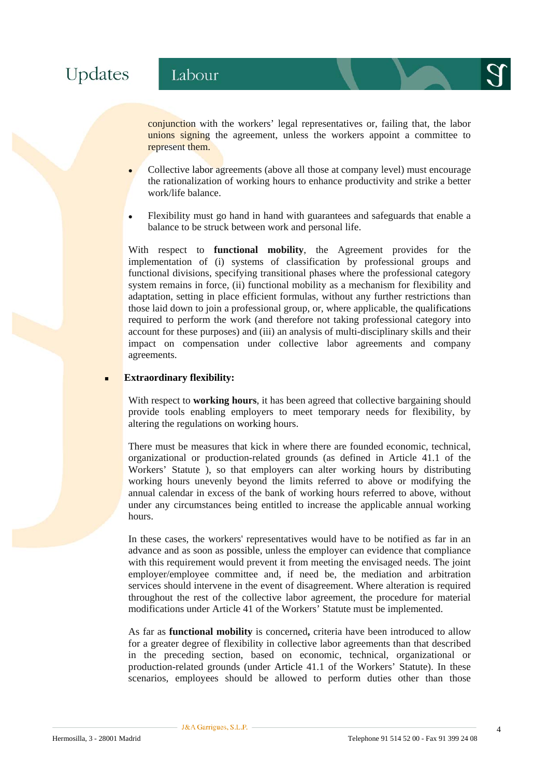# Updates

conjunction with the workers' legal representatives or, failing that, the labor unions signing the agreement, unless the workers appoint a committee to represent them.

- <sup>z</sup> Collective labor agreements (above all those at company level) must encourage the rationalization of working hours to enhance productivity and strike a better work/life balance.
- Flexibility must go hand in hand with guarantees and safeguards that enable a balance to be struck between work and personal life.

With respect to **functional mobility**, the Agreement provides for the implementation of (i) systems of classification by professional groups and functional divisions, specifying transitional phases where the professional category system remains in force, (ii) functional mobility as a mechanism for flexibility and adaptation, setting in place efficient formulas, without any further restrictions than those laid down to join a professional group, or, where applicable, the qualifications required to perform the work (and therefore not taking professional category into account for these purposes) and (iii) an analysis of multi-disciplinary skills and their impact on compensation under collective labor agreements and company agreements.

#### **Extraordinary flexibility:**

With respect to **working hours**, it has been agreed that collective bargaining should provide tools enabling employers to meet temporary needs for flexibility, by altering the regulations on working hours.

There must be measures that kick in where there are founded economic, technical, organizational or production-related grounds (as defined in Article 41.1 of the Workers' Statute ), so that employers can alter working hours by distributing working hours unevenly beyond the limits referred to above or modifying the annual calendar in excess of the bank of working hours referred to above, without under any circumstances being entitled to increase the applicable annual working hours.

In these cases, the workers' representatives would have to be notified as far in an advance and as soon as possible, unless the employer can evidence that compliance with this requirement would prevent it from meeting the envisaged needs. The joint employer/employee committee and, if need be, the mediation and arbitration services should intervene in the event of disagreement. Where alteration is required throughout the rest of the collective labor agreement, the procedure for material modifications under Article 41 of the Workers' Statute must be implemented.

As far as **functional mobility** is concerned**,** criteria have been introduced to allow for a greater degree of flexibility in collective labor agreements than that described in the preceding section, based on economic, technical, organizational or production-related grounds (under Article 41.1 of the Workers' Statute). In these scenarios, employees should be allowed to perform duties other than those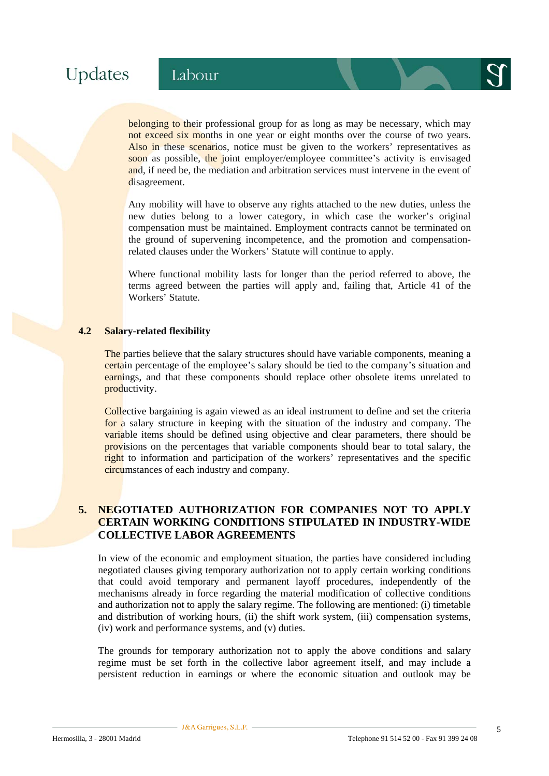belonging to their professional group for as long as may be necessary, which may not exceed six months in one year or eight months over the course of two years. Also in these scenarios, notice must be given to the workers' representatives as soon as possible, the joint employer/employee committee's activity is envisaged and, if need be, the mediation and arbitration services must intervene in the event of disagreement.

Any mobility will have to observe any rights attached to the new duties, unless the new duties belong to a lower category, in which case the worker's original compensation must be maintained. Employment contracts cannot be terminated on the ground of supervening incompetence, and the promotion and compensationrelated clauses under the Workers' Statute will continue to apply.

Where functional mobility lasts for longer than the period referred to above, the terms agreed between the parties will apply and, failing that, Article 41 of the Workers' Statute.

#### **4.2 Salary-related flexibility**

The parties believe that the salary structures should have variable components, meaning a certain percentage of the employee's salary should be tied to the company's situation and earnings, and that these components should replace other obsolete items unrelated to productivity.

Collective bargaining is again viewed as an ideal instrument to define and set the criteria for a salary structure in keeping with the situation of the industry and company. The variable items should be defined using objective and clear parameters, there should be provisions on the percentages that variable components should bear to total salary, the right to information and participation of the workers' representatives and the specific circumstances of each industry and company.

#### **5. NEGOTIATED AUTHORIZATION FOR COMPANIES NOT TO APPLY CERTAIN WORKING CONDITIONS STIPULATED IN INDUSTRY-WIDE COLLECTIVE LABOR AGREEMENTS**

In view of the economic and employment situation, the parties have considered including negotiated clauses giving temporary authorization not to apply certain working conditions that could avoid temporary and permanent layoff procedures, independently of the mechanisms already in force regarding the material modification of collective conditions and authorization not to apply the salary regime. The following are mentioned: (i) timetable and distribution of working hours, (ii) the shift work system, (iii) compensation systems, (iv) work and performance systems, and (v) duties.

The grounds for temporary authorization not to apply the above conditions and salary regime must be set forth in the collective labor agreement itself, and may include a persistent reduction in earnings or where the economic situation and outlook may be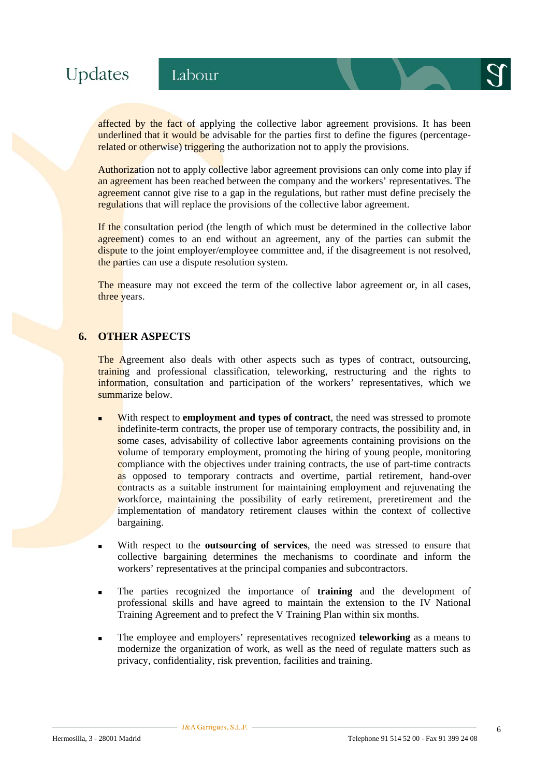affected by the fact of applying the collective labor agreement provisions. It has been underlined that it would be advisable for the parties first to define the figures (percentagerelated or otherwise) triggering the authorization not to apply the provisions.

Authorization not to apply collective labor agreement provisions can only come into play if an agreement has been reached between the company and the workers' representatives. The agreement cannot give rise to a gap in the regulations, but rather must define precisely the regulations that will replace the provisions of the collective labor agreement.

If the consultation period (the length of which must be determined in the collective labor agreement) comes to an end without an agreement, any of the parties can submit the dispute to the joint employer/employee committee and, if the disagreement is not resolved, the parties can use a dispute resolution system.

The measure may not exceed the term of the collective labor agreement or, in all cases, three years.

#### **6. OTHER ASPECTS**

The Agreement also deals with other aspects such as types of contract, outsourcing, training and professional classification, teleworking, restructuring and the rights to information, consultation and participation of the workers' representatives, which we summarize below.

- **With respect to employment and types of contract**, the need was stressed to promote indefinite-term contracts, the proper use of temporary contracts, the possibility and, in some cases, advisability of collective labor agreements containing provisions on the volume of temporary employment, promoting the hiring of young people, monitoring compliance with the objectives under training contracts, the use of part-time contracts as opposed to temporary contracts and overtime, partial retirement, hand-over contracts as a suitable instrument for maintaining employment and rejuvenating the workforce, maintaining the possibility of early retirement, preretirement and the implementation of mandatory retirement clauses within the context of collective bargaining.
- With respect to the **outsourcing of services**, the need was stressed to ensure that collective bargaining determines the mechanisms to coordinate and inform the workers' representatives at the principal companies and subcontractors.
- The parties recognized the importance of **training** and the development of professional skills and have agreed to maintain the extension to the IV National Training Agreement and to prefect the V Training Plan within six months.
- The employee and employers' representatives recognized **teleworking** as a means to modernize the organization of work, as well as the need of regulate matters such as privacy, confidentiality, risk prevention, facilities and training.